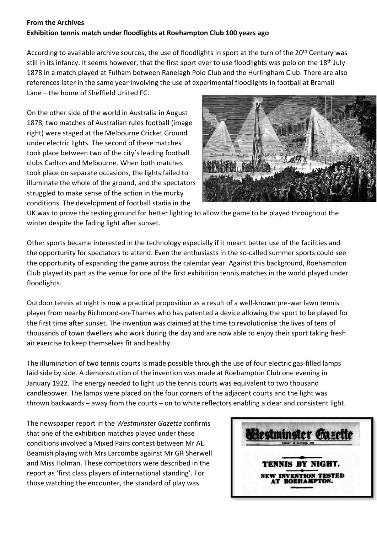## **From the Archives Exhibition tennis match under floodlights at Roehampton Club 100 years ago**

According to available archive sources, the use of floodlights in sport at the turn of the 20<sup>th</sup> Century was still in its infancy. It seems however, that the first sport ever to use floodlights was polo on the 18<sup>th</sup> July 1878 in a match played at Fulham between Ranelagh Polo Club and the Hurlingham Club. There are also references later in the same year involving the use of experimental floodlights in football at Bramall Lane – the home of Sheffield United FC.

On the other side of the world in Australia in August 1878, two matches of Australian rules football (image right) were staged at the Melbourne Cricket Ground under electric lights. The second of these matches took place between two of the city's leading football clubs Carlton and Melbourne. When both matches took place on separate occasions, the lights failed to illuminate the whole of the ground, and the spectators struggled to make sense of the action in the murky conditions. The development of football stadia in the



UK was to prove the testing ground for better lighting to allow the game to be played throughout the winter despite the fading light after sunset.

Other sports became interested in the technology especially if it meant better use of the facilities and the opportunity for spectators to attend. Even the enthusiasts in the so-called summer sports could see the opportunity of expanding the game across the calendar year. Against this background, Roehampton Club played its part as the venue for one of the first exhibition tennis matches in the world played under floodlights.

Outdoor tennis at night is now a practical proposition as a result of a well-known pre-war lawn tennis player from nearby Richmond-on-Thames who has patented a device allowing the sport to be played for the first time after sunset. The invention was claimed at the time to revolutionise the lives of tens of thousands of town dwellers who work during the day and are now able to enjoy their sport taking fresh air exercise to keep themselves fit and healthy.

The illumination of two tennis courts is made possible through the use of four electric gas-filled lamps laid side by side. A demonstration of the invention was made at Roehampton Club one evening in January 1922. The energy needed to light up the tennis courts was equivalent to two thousand candlepower. The lamps were placed on the four corners of the adjacent courts and the light was thrown backwards – away from the courts – on to white reflectors enabling a clear and consistent light.

The newspaper report in the *Westminster Gazette* confirms that one of the exhibition matches played under these conditions involved a Mixed Pairs contest between Mr AE Beamish playing with Mrs Larcombe against Mr GR Sherwell and Miss Holman. These competitors were described in the report as 'first class players of international standing'. For those watching the encounter, the standard of play was